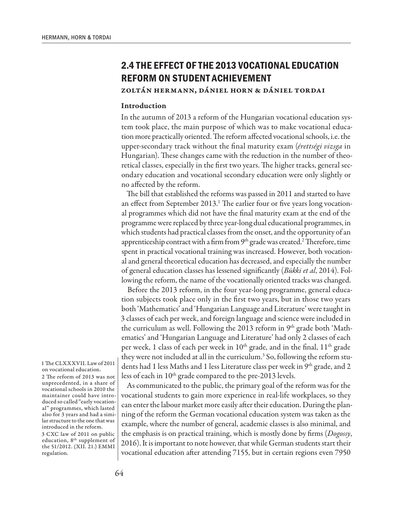# **2.4 THE EFFECT OF THE 2013 VOCATIONAL EDUCATION REFORM ON STUDENT ACHIEVEMENT**

## Zoltán Hermann, Dániel Horn & Dániel Tordai

## Introduction

In the autumn of 2013 a reform of the Hungarian vocational education system took place, the main purpose of which was to make vocational education more practically oriented. The reform affected vocational schools, i.e. the upper-secondary track without the final maturity exam (*érettségi vizsga* in Hungarian). These changes came with the reduction in the number of theoretical classes, especially in the first two years. The higher tracks, general secondary education and vocational secondary education were only slightly or no affected by the reform.

The bill that established the reforms was passed in 2011 and started to have an effect from September 2013.<sup>1</sup> The earlier four or five years long vocational programmes which did not have the final maturity exam at the end of the programme were replaced by three year-long dual educational programmes, in which students had practical classes from the onset, and the opportunity of an apprenticeship contract with a firm from 9<sup>th</sup> grade was created.<sup>2</sup> Therefore, time spent in practical vocational training was increased. However, both vocational and general theoretical education has decreased, and especially the number of general education classes has lessened significantly (*Bükki et al*, 2014). Following the reform, the name of the vocationally oriented tracks was changed.

Before the 2013 reform, in the four year-long programme, general education subjects took place only in the first two years, but in those two years both 'Mathematics' and 'Hungarian Language and Literature' were taught in 3 classes of each per week, and foreign language and science were included in the curriculum as well. Following the 2013 reform in 9<sup>th</sup> grade both 'Mathematics' and 'Hungarian Language and Literature' had only 2 classes of each per week, 1 class of each per week in 10<sup>th</sup> grade, and in the final, 11<sup>th</sup> grade they were not included at all in the curriculum.<sup>3</sup> So, following the reform students had 1 less Maths and 1 less Literature class per week in  $9<sup>th</sup>$  grade, and 2 less of each in 10<sup>th</sup> grade compared to the pre-2013 levels.

As communicated to the public, the primary goal of the reform was for the vocational students to gain more experience in real-life workplaces, so they can enter the labour market more easily after their education. During the planning of the reform the German vocational education system was taken as the example, where the number of general, academic classes is also minimal, and the emphasis is on practical training, which is mostly done by firms (*Dogossy*, 2016). It is important to note however, that while German students start their vocational education after attending 7155, but in certain regions even 7950

1 The CLXXXVII. Law of 2011 on vocational education.

2 The reform of 2013 was not unprecedented, in a share of vocational schools in 2010 the maintainer could have introduced so called "early vocational" programmes, which lasted also for 3 years and had a similar structure to the one that was introduced in the reform.

3 CXC law of 2011 on public education, 8<sup>th</sup> supplement of the 51/2012. (XII. 21.) EMMI regulation.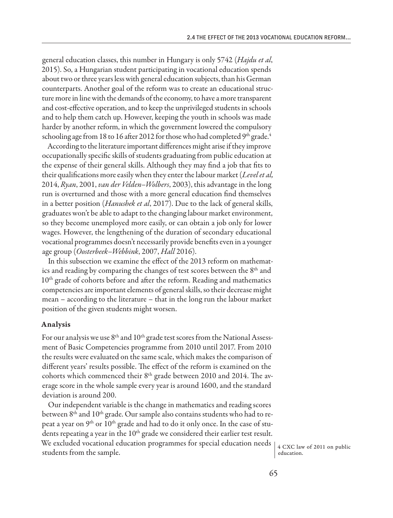general education classes, this number in Hungary is only 5742 (*Hajdu et al*, 2015). So, a Hungarian student participating in vocational education spends about two or three years less with general education subjects, than his German counterparts. Another goal of the reform was to create an educational structure more in line with the demands of the economy, to have a more transparent and cost-effective operation, and to keep the unprivileged students in schools and to help them catch up. However, keeping the youth in schools was made harder by another reform, in which the government lowered the compulsory schooling age from 18 to 16 after 2012 for those who had completed  $9<sup>th</sup>$  grade.<sup>4</sup>

According to the literature important differences might arise if they improve occupationally specific skills of students graduating from public education at the expense of their general skills. Although they may find a job that fits to their qualifications more easily when they enter the labour market (*Level et al,* 2014, *Ryan*, 2001, *van der Velden–Wolbers*, 2003), this advantage in the long run is overturned and those with a more general education find themselves in a better position (*Hanushek et al*, 2017). Due to the lack of general skills, graduates won't be able to adapt to the changing labour market environment, so they become unemployed more easily, or can obtain a job only for lower wages. However, the lengthening of the duration of secondary educational vocational programmes doesn't necessarily provide benefits even in a younger age group (*Oosterbeek–Webbink*, 2007, *Hall* 2016).

In this subsection we examine the effect of the 2013 reform on mathematics and reading by comparing the changes of test scores between the 8<sup>th</sup> and 10<sup>th</sup> grade of cohorts before and after the reform. Reading and mathematics competencies are important elements of general skills, so their decrease might mean – according to the literature – that in the long run the labour market position of the given students might worsen.

#### Analysis

For our analysis we use  $8<sup>th</sup>$  and  $10<sup>th</sup>$  grade test scores from the National Assessment of Basic Competencies programme from 2010 until 2017. From 2010 the results were evaluated on the same scale, which makes the comparison of different years' results possible. The effect of the reform is examined on the cohorts which commenced their 8<sup>th</sup> grade between 2010 and 2014. The average score in the whole sample every year is around 1600, and the standard deviation is around 200.

Our independent variable is the change in mathematics and reading scores between  $8<sup>th</sup>$  and  $10<sup>th</sup>$  grade. Our sample also contains students who had to repeat a year on 9<sup>th</sup> or 10<sup>th</sup> grade and had to do it only once. In the case of students repeating a year in the  $10<sup>th</sup>$  grade we considered their earlier test result. We excluded vocational education programmes for special education needs We excluded vocational equivalibrium programmes for special equivalibrium factor  $\begin{pmatrix} 4 & CXC \ 4 & CXC \end{pmatrix}$  on public students from the sample.

education.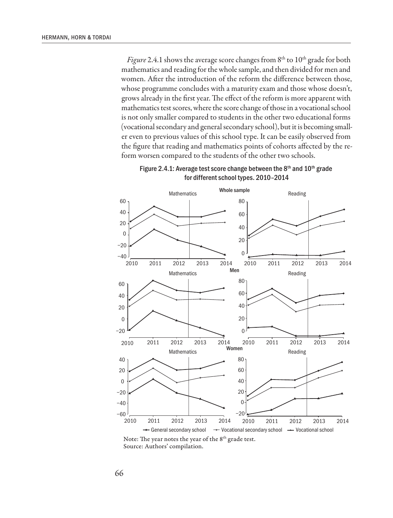*Figure* 2.4.1 shows the average score changes from  $8<sup>th</sup>$  to  $10<sup>th</sup>$  grade for both mathematics and reading for the whole sample, and then divided for men and women. After the introduction of the reform the difference between those, whose programme concludes with a maturity exam and those whose doesn't, grows already in the first year. The effect of the reform is more apparent with mathematics test scores, where the score change of those in a vocational school is not only smaller compared to students in the other two educational forms (vocational secondary and general secondary school), but it is becoming smaller even to previous values of this school type. It can be easily observed from the figure that reading and mathematics points of cohorts affected by the reform worsen compared to the students of the other two schools.





Note: The year notes the year of the 8<sup>th</sup> grade test. Source: Authors' compilation.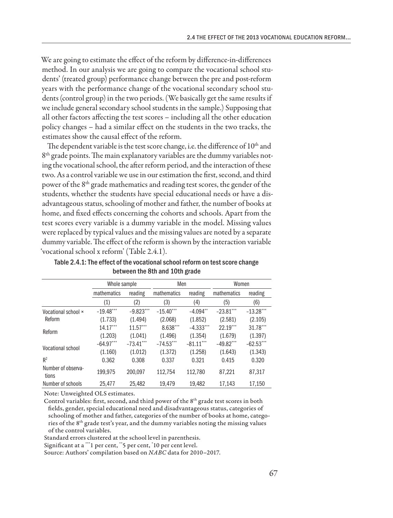We are going to estimate the effect of the reform by difference-in-differences method. In our analysis we are going to compare the vocational school students' (treated group) performance change between the pre and post-reform years with the performance change of the vocational secondary school students (control group) in the two periods. (We basically get the same results if we include general secondary school students in the sample.) Supposing that all other factors affecting the test scores – including all the other education policy changes – had a similar effect on the students in the two tracks, the estimates show the causal effect of the reform.

The dependent variable is the test score change, i.e. the difference of 10<sup>th</sup> and 8<sup>th</sup> grade points. The main explanatory variables are the dummy variables noting the vocational school, the after reform period, and the interaction of these two. As a control variable we use in our estimation the first, second, and third power of the 8th grade mathematics and reading test scores, the gender of the students, whether the students have special educational needs or have a disadvantageous status, schooling of mother and father, the number of books at home, and fixed effects concerning the cohorts and schools. Apart from the test scores every variable is a dummy variable in the model. Missing values were replaced by typical values and the missing values are noted by a separate dummy variable. The effect of the reform is shown by the interaction variable 'vocational school x reform' (Table 2.4.1).

|                             | Whole sample |             | Men         |                        | Women       |             |
|-----------------------------|--------------|-------------|-------------|------------------------|-------------|-------------|
|                             | mathematics  | reading     | mathematics | reading                | mathematics | reading     |
|                             | (1)          | (2)         | (3)         | (4)                    | (5)         | (6)         |
| Vocational school ×         | $-19.48***$  | $-9.823***$ | $-15.40***$ | $-4.094$ <sup>**</sup> | $-23.81***$ | $-13.28***$ |
| Reform                      | (1.733)      | (1.494)     | (2.068)     | (1.852)                | (2.581)     | (2.105)     |
| Reform                      | $14.17***$   | $11.57***$  | 8.638***    | $-4.333***$            | $22.19***$  | $31.78***$  |
|                             | (1.203)      | (1.041)     | (1.496)     | (1.354)                | (1.679)     | (1.397)     |
| Vocational school           | $-64.97***$  | $-73.41***$ | $-74.53***$ | $-81.11***$            | $-49.82***$ | $-62.53***$ |
|                             | (1.160)      | (1.012)     | (1.372)     | (1.258)                | (1.643)     | (1.343)     |
| R <sup>2</sup>              | 0.362        | 0.308       | 0.337       | 0.321                  | 0.415       | 0.320       |
| Number of observa-<br>tions | 199.975      | 200.097     | 112.754     | 112.780                | 87.221      | 87,317      |
| Number of schools           | 25.477       | 25.482      | 19.479      | 19.482                 | 17.143      | 17.150      |

Table 2.4.1: The effect of the vocational school reform on test score change between the 8th and 10th grade

Note: Unweighted OLS estimates.

Control variables: first, second, and third power of the 8<sup>th</sup> grade test scores in both fields, gender, special educational need and disadvantageous status, categories of schooling of mother and father, categories of the number of books at home, categories of the 8th grade test's year, and the dummy variables noting the missing values of the control variables.

Standard errors clustered at the school level in parenthesis.

Significant at a \*\*\*1 per cent, \*\*5 per cent, \* 10 per cent level.

Source: Authors' compilation based on *NABC* data for 2010–2017.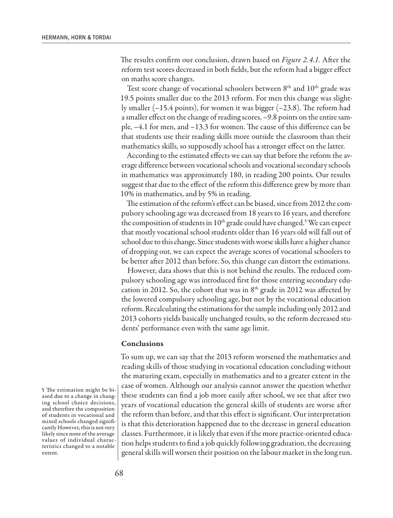The results confirm our conclusion, drawn based on *Figure 2.4.1.* After the reform test scores decreased in both fields, but the reform had a bigger effect on maths score changes.

Test score change of vocational schoolers between  $8<sup>th</sup>$  and  $10<sup>th</sup>$  grade was 19.5 points smaller due to the 2013 reform. For men this change was slightly smaller (–15.4 points), for women it was bigger (–23.8). The reform had a smaller effect on the change of reading scores, –9.8 points on the entire sample, –4.1 for men, and –13.3 for women. The cause of this difference can be that students use their reading skills more outside the classroom than their mathematics skills, so supposedly school has a stronger effect on the latter.

According to the estimated effects we can say that before the reform the average difference between vocational schools and vocational secondary schools in mathematics was approximately 180, in reading 200 points. Our results suggest that due to the effect of the reform this difference grew by more than 10% in mathematics, and by 5% in reading.

The estimation of the reform's effect can be biased, since from 2012 the compulsory schooling age was decreased from 18 years to 16 years, and therefore the composition of students in  $10^{\text{th}}$  grade could have changed.<sup>5</sup> We can expect that mostly vocational school students older than 16 years old will fall out of school due to this change. Since students with worse skills have a higher chance of dropping out, we can expect the average scores of vocational schoolers to be better after 2012 than before. So, this change can distort the estimations.

However, data shows that this is not behind the results. The reduced compulsory schooling age was introduced first for those entering secondary education in 2012. So, the cohort that was in  $8<sup>th</sup>$  grade in 2012 was affected by the lowered compulsory schooling age, but not by the vocational education reform. Recalculating the estimations for the sample including only 2012 and 2013 cohorts yields basically unchanged results, so the reform decreased students' performance even with the same age limit.

## Conclusions

To sum up, we can say that the 2013 reform worsened the mathematics and reading skills of those studying in vocational education concluding without the maturing exam, especially in mathematics and to a greater extent in the case of women. Although our analysis cannot answer the question whether these students can find a job more easily after school, we see that after two years of vocational education the general skills of students are worse after the reform than before, and that this effect is significant. Our interpretation is that this deterioration happened due to the decrease in general education classes. Furthermore, it is likely that even if the more practice-oriented education helps students to find a job quickly following graduation, the decreasing general skills will worsen their position on the labour market in the long run.

5 The estimation might be biased due to a change in changing school choice decisions, and therefore the composition of students in vocational and mixed schools changed significantly However, this is not very likely since none of the average values of individual characteristics changed to a notable extent.